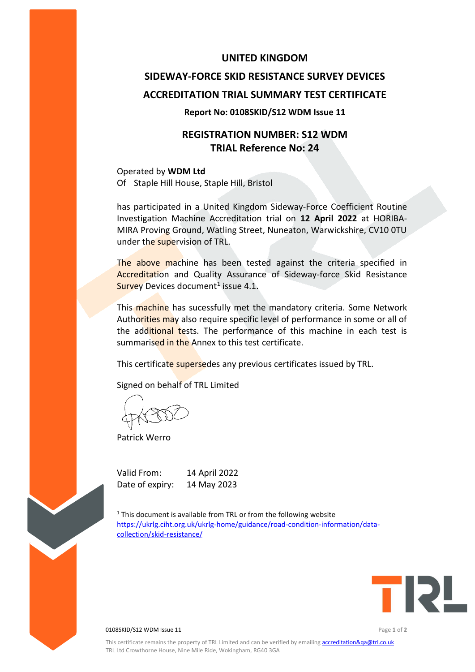### **UNITED KINGDOM**

# **SIDEWAY-FORCE SKID RESISTANCE SURVEY DEVICES ACCREDITATION TRIAL SUMMARY TEST CERTIFICATE**

#### **Report No: 0108SKID/S12 WDM Issue 11**

# **REGISTRATION NUMBER: S12 WDM TRIAL Reference No: 24**

Operated by **WDM Ltd** Of Staple Hill House, Staple Hill, Bristol

has participated in a United Kingdom Sideway-Force Coefficient Routine Investigation Machine Accreditation trial on **12 April 2022** at HORIBA-MIRA Proving Ground, Watling Street, Nuneaton, Warwickshire, CV10 0TU under the supervision of TRL.

The above machine has been tested against the criteria specified in Accreditation and Quality Assurance of Sideway-force Skid Resistance Survey Devices document<sup>1</sup> issue 4.1.

This machine has sucessfully met the mandatory criteria. Some Network Authorities may also require specific level of performance in some or all of the additional tests. The performance of this machine in each test is summarised in the Annex to this test certificate.

This certificate supersedes any previous certificates issued by TRL.

Signed on behalf of TRL Limited

Patrick Werro

Valid From: 14 April 2022 Date of expiry: 14 May 2023

 $1$ <sup>1</sup> This document is available from TRL or from the following website [https://ukrlg.ciht.org.uk/ukrlg-home/guidance/road-condition-information/data](https://ukrlg.ciht.org.uk/ukrlg-home/guidance/road-condition-information/data-collection/skid-resistance/)[collection/skid-resistance/](https://ukrlg.ciht.org.uk/ukrlg-home/guidance/road-condition-information/data-collection/skid-resistance/)



0108SKID/S12 WDM Issue 11 Page **1** of **2**